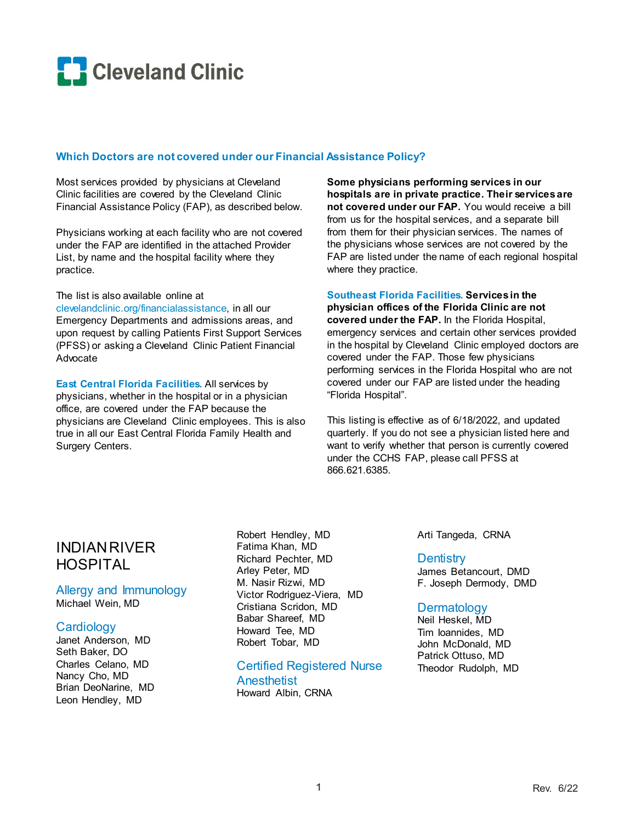

## **Which Doctors are not covered under our Financial Assistance Policy?**

Most services provided by physicians at Cleveland Clinic facilities are covered by the Cleveland Clinic Financial Assistance Policy (FAP), as described below.

Physicians working at each facility who are not covered under the FAP are identified in the attached Provider List, by name and the hospital facility where they practice.

The list is also available online at clevelandclinic.org/financialassistance, in all our Emergency Departments and admissions areas, and upon request by calling Patients First Support Services

(PFSS) or asking a Cleveland Clinic Patient Financial Advocate

**East Central Florida Facilities.** All services by physicians, whether in the hospital or in a physician office, are covered under the FAP because the physicians are Cleveland Clinic employees. This is also true in all our East Central Florida Family Health and Surgery Centers.

**Some physicians performing services in our hospitals are in private practice. Their services are not covered under our FAP.** You would receive a bill from us for the hospital services, and a separate bill from them for their physician services. The names of the physicians whose services are not covered by the FAP are listed under the name of each regional hospital where they practice.

#### **Southeast Florida Facilities. Services in the**

**physician offices of the Florida Clinic are not covered under the FAP.** In the Florida Hospital, emergency services and certain other services provided in the hospital by Cleveland Clinic employed doctors are covered under the FAP. Those few physicians performing services in the Florida Hospital who are not covered under our FAP are listed under the heading "Florida Hospital".

This listing is effective as of 6/18/2022, and updated quarterly. If you do not see a physician listed here and want to verify whether that person is currently covered under the CCHS FAP, please call PFSS at 866.621.6385.

# INDIAN RIVER HOSPITAL

Allergy and Immunology Michael Wein, MD

## **Cardiology**

Janet Anderson, MD Seth Baker, DO Charles Celano, MD Nancy Cho, MD Brian DeoNarine, MD Leon Hendley, MD

Robert Hendley, MD Fatima Khan, MD Richard Pechter, MD Arley Peter, MD M. Nasir Rizwi, MD Victor Rodriguez-Viera, MD Cristiana Scridon, MD Babar Shareef, MD Howard Tee, MD Robert Tobar, MD

Certified Registered Nurse **Anesthetist** Howard Albin, CRNA

Arti Tangeda, CRNA

### **Dentistry**

James Betancourt, DMD F. Joseph Dermody, DMD

## **Dermatology**

Neil Heskel, MD Tim Ioannides, MD John McDonald, MD Patrick Ottuso, MD Theodor Rudolph, MD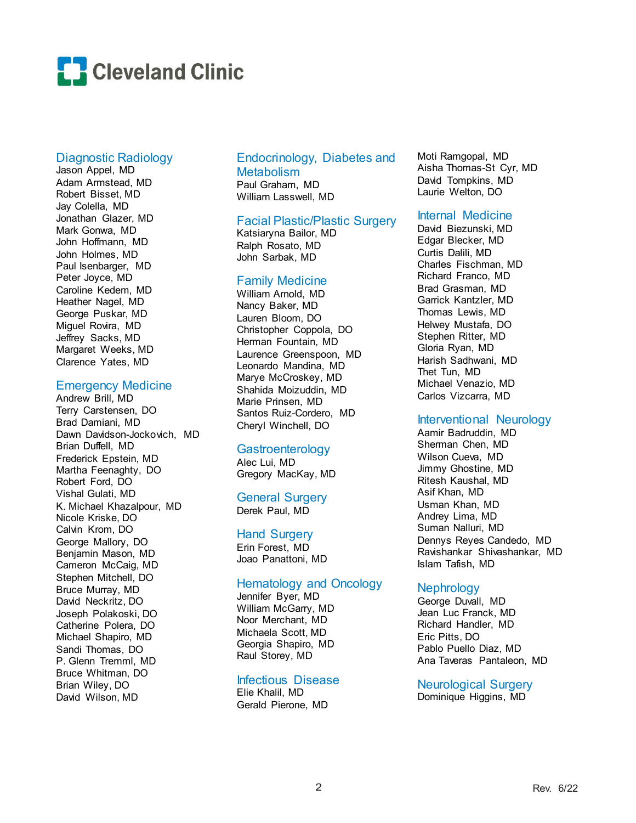

## Diagnostic Radiology

Jason Appel, MD Adam Armstead, MD Robert Bisset, MD Jay Colella, MD Jonathan Glazer, MD Mark Gonwa, MD John Hoffmann, MD John Holmes, MD Paul Isenbarger, MD Peter Joyce, MD Caroline Kedem, MD Heather Nagel, MD George Puskar, MD Miguel Rovira, MD Jeffrey Sacks, MD Margaret Weeks, MD Clarence Yates, MD

### Emergency Medicine

Andrew Brill, MD Terry Carstensen, DO Brad Damiani, MD Dawn Davidson-Jockovich, MD Brian Duffell, MD Frederick Epstein, MD Martha Feenaghty, DO Robert Ford, DO Vishal Gulati, MD K. Michael Khazalpour, MD Nicole Kriske, DO Calvin Krom, DO George Mallory, DO Benjamin Mason, MD Cameron McCaig, MD Stephen Mitchell, DO Bruce Murray, MD David Neckritz, DO Joseph Polakoski, DO Catherine Polera, DO Michael Shapiro, MD Sandi Thomas, DO P. Glenn Tremml, MD Bruce Whitman, DO Brian Wiley, DO David Wilson, MD

## Endocrinology, Diabetes and **Metabolism** Paul Graham, MD

William Lasswell, MD

## Facial Plastic/Plastic Surgery

Katsiaryna Bailor, MD Ralph Rosato, MD John Sarbak, MD

### Family Medicine

William Arnold, MD Nancy Baker, MD Lauren Bloom, DO Christopher Coppola, DO Herman Fountain, MD Laurence Greenspoon, MD Leonardo Mandina, MD Marye McCroskey, MD Shahida Moizuddin, MD Marie Prinsen, MD Santos Ruiz-Cordero, MD Cheryl Winchell, DO

## Gastroenterology

Alec Lui, MD Gregory MacKay, MD

General Surgery Derek Paul, MD

# Hand Surgery

Erin Forest, MD Joao Panattoni, MD

## Hematology and Oncology

Jennifer Byer, MD William McGarry, MD Noor Merchant, MD Michaela Scott, MD Georgia Shapiro, MD Raul Storey, MD

## Infectious Disease

Elie Khalil, MD Gerald Pierone, MD Moti Ramgopal, MD Aisha Thomas-St Cyr, MD David Tompkins, MD Laurie Welton, DO

## Internal Medicine

David Biezunski, MD Edgar Blecker, MD Curtis Dalili, MD Charles Fischman, MD Richard Franco, MD Brad Grasman, MD Garrick Kantzler, MD Thomas Lewis, MD Helwey Mustafa, DO Stephen Ritter, MD Gloria Ryan, MD Harish Sadhwani, MD Thet Tun, MD Michael Venazio, MD Carlos Vizcarra, MD

## Interventional Neurology

Aamir Badruddin, MD Sherman Chen, MD Wilson Cueva, MD Jimmy Ghostine, MD Ritesh Kaushal, MD Asif Khan, MD Usman Khan, MD Andrey Lima, MD Suman Nalluri, MD Dennys Reyes Candedo, MD Ravishankar Shivashankar, MD Islam Tafish, MD

## **Nephrology**

George Duvall, MD Jean Luc Franck, MD Richard Handler, MD Eric Pitts, DO Pablo Puello Diaz, MD Ana Taveras Pantaleon, MD

Neurological Surgery

Dominique Higgins, MD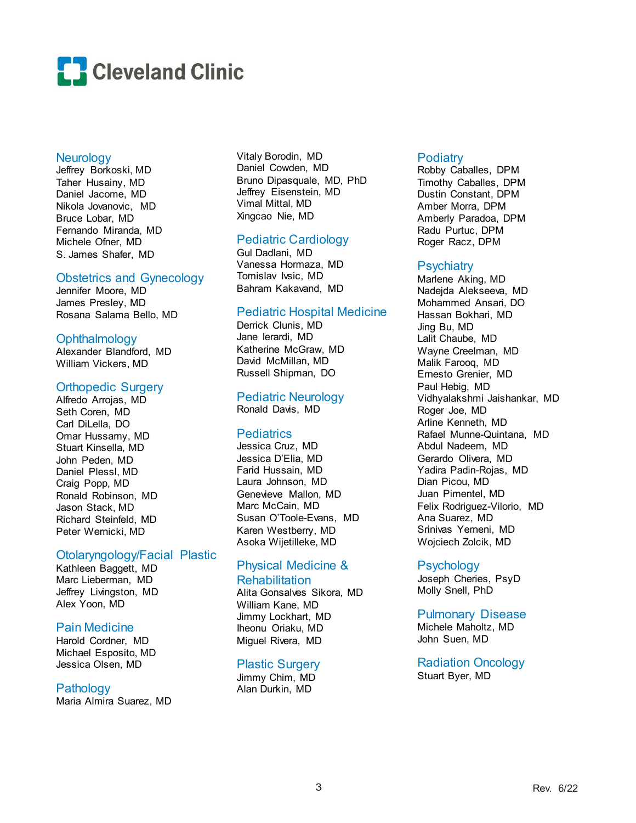

#### **Neurology**

Jeffrey Borkoski, MD Taher Husainy, MD Daniel Jacome, MD Nikola Jovanovic, MD Bruce Lobar, MD Fernando Miranda, MD Michele Ofner, MD S. James Shafer, MD

## Obstetrics and Gynecology

Jennifer Moore, MD James Presley, MD Rosana Salama Bello, MD

## **Ophthalmology**

Alexander Blandford, MD William Vickers, MD

### Orthopedic Surgery

Alfredo Arrojas, MD Seth Coren, MD Carl DiLella, DO Omar Hussamy, MD Stuart Kinsella, MD John Peden, MD Daniel Plessl, MD Craig Popp, MD Ronald Robinson, MD Jason Stack, MD Richard Steinfeld, MD Peter Wernicki, MD

### Otolaryngology/Facial Plastic

Kathleen Baggett, MD Marc Lieberman, MD Jeffrey Livingston, MD Alex Yoon, MD

## Pain Medicine

Harold Cordner, MD Michael Esposito, MD Jessica Olsen, MD

## **Pathology**

Maria Almira Suarez, MD

Vitaly Borodin, MD Daniel Cowden, MD Bruno Dipasquale, MD, PhD Jeffrey Eisenstein, MD Vimal Mittal, MD Xingcao Nie, MD

## Pediatric Cardiology

Gul Dadlani, MD Vanessa Hormaza, MD Tomislav Ivsic, MD Bahram Kakavand, MD

## Pediatric Hospital Medicine

Derrick Clunis, MD Jane Ierardi, MD Katherine McGraw, MD David McMillan, MD Russell Shipman, DO

# Pediatric Neurology

Ronald Davis, MD

## **Pediatrics**

Jessica Cruz, MD Jessica D'Elia, MD Farid Hussain, MD Laura Johnson, MD Genevieve Mallon, MD Marc McCain, MD Susan O'Toole-Evans, MD Karen Westberry, MD Asoka Wijetilleke, MD

### Physical Medicine & Rehabilitation

Alita Gonsalves Sikora, MD William Kane, MD Jimmy Lockhart, MD Iheonu Oriaku, MD Miguel Rivera, MD

## Plastic Surgery

Jimmy Chim, MD Alan Durkin, MD

### **Podiatry**

Robby Caballes, DPM Timothy Caballes, DPM Dustin Constant, DPM Amber Morra, DPM Amberly Paradoa, DPM Radu Purtuc, DPM Roger Racz, DPM

## **Psychiatry**

Marlene Aking, MD Nadejda Alekseeva, MD Mohammed Ansari, DO Hassan Bokhari, MD Jing Bu, MD Lalit Chaube, MD Wayne Creelman, MD Malik Farooq, MD Ernesto Grenier, MD Paul Hebig, MD Vidhyalakshmi Jaishankar, MD Roger Joe, MD Arline Kenneth, MD Rafael Munne-Quintana, MD Abdul Nadeem, MD Gerardo Olivera, MD Yadira Padin-Rojas, MD Dian Picou, MD Juan Pimentel, MD Felix Rodriguez-Vilorio, MD Ana Suarez, MD Srinivas Yerneni, MD Wojciech Zolcik, MD

## **Psychology**

Joseph Cheries, PsyD Molly Snell, PhD

### Pulmonary Disease

Michele Maholtz, MD John Suen, MD

Radiation Oncology Stuart Byer, MD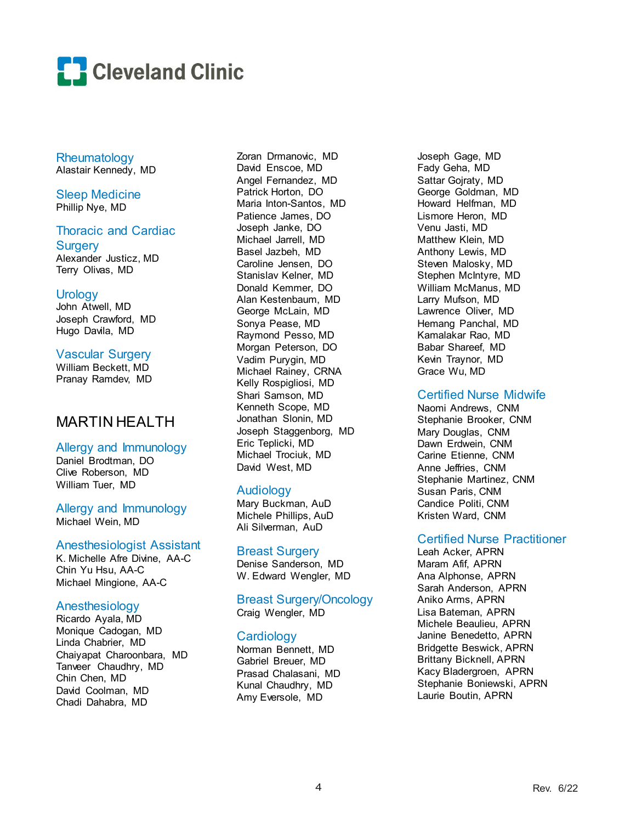

Rheumatology Alastair Kennedy, MD

Sleep Medicine Phillip Nye, MD

## Thoracic and Cardiac

**Surgery** Alexander Justicz, MD Terry Olivas, MD

### Urology

John Atwell, MD Joseph Crawford, MD Hugo Davila, MD

## Vascular Surgery

William Beckett, MD Pranay Ramdev, MD

# MARTIN HEALTH

## Allergy and Immunology

Daniel Brodtman, DO Clive Roberson, MD William Tuer, MD

Allergy and Immunology Michael Wein, MD

## Anesthesiologist Assistant

K. Michelle Afre Divine, AA-C Chin Yu Hsu, AA-C Michael Mingione, AA-C

## Anesthesiology

Ricardo Ayala, MD Monique Cadogan, MD Linda Chabrier, MD Chaiyapat Charoonbara, MD Tanveer Chaudhry, MD Chin Chen, MD David Coolman, MD Chadi Dahabra, MD

Zoran Drmanovic, MD David Enscoe, MD Angel Fernandez, MD Patrick Horton, DO Maria Inton-Santos, MD Patience James, DO Joseph Janke, DO Michael Jarrell, MD Basel Jazbeh, MD Caroline Jensen, DO Stanislav Kelner, MD Donald Kemmer, DO Alan Kestenbaum, MD George McLain, MD Sonya Pease, MD Raymond Pesso, MD Morgan Peterson, DO Vadim Purygin, MD Michael Rainey, CRNA Kelly Rospigliosi, MD Shari Samson, MD Kenneth Scope, MD Jonathan Slonin, MD Joseph Staggenborg, MD Eric Teplicki, MD Michael Trociuk, MD David West, MD

## Audiology

Mary Buckman, AuD Michele Phillips, AuD Ali Silverman, AuD

## Breast Surgery

Denise Sanderson, MD W. Edward Wengler, MD

### Breast Surgery/Oncology Craig Wengler, MD

## **Cardiology**

Norman Bennett, MD Gabriel Breuer, MD Prasad Chalasani, MD Kunal Chaudhry, MD Amy Eversole, MD

Joseph Gage, MD Fady Geha, MD Sattar Gojraty, MD George Goldman, MD Howard Helfman, MD Lismore Heron, MD Venu Jasti, MD Matthew Klein, MD Anthony Lewis, MD Steven Malosky, MD Stephen McIntyre, MD William McManus, MD Larry Mufson, MD Lawrence Oliver, MD Hemang Panchal, MD Kamalakar Rao, MD Babar Shareef, MD Kevin Traynor, MD Grace Wu, MD

## Certified Nurse Midwife

Naomi Andrews, CNM Stephanie Brooker, CNM Mary Douglas, CNM Dawn Erdwein, CNM Carine Etienne, CNM Anne Jeffries, CNM Stephanie Martinez, CNM Susan Paris, CNM Candice Politi, CNM Kristen Ward, CNM

## Certified Nurse Practitioner

Leah Acker, APRN Maram Afif, APRN Ana Alphonse, APRN Sarah Anderson, APRN Aniko Arms, APRN Lisa Bateman, APRN Michele Beaulieu, APRN Janine Benedetto, APRN Bridgette Beswick, APRN Brittany Bicknell, APRN Kacy Bladergroen, APRN Stephanie Boniewski, APRN Laurie Boutin, APRN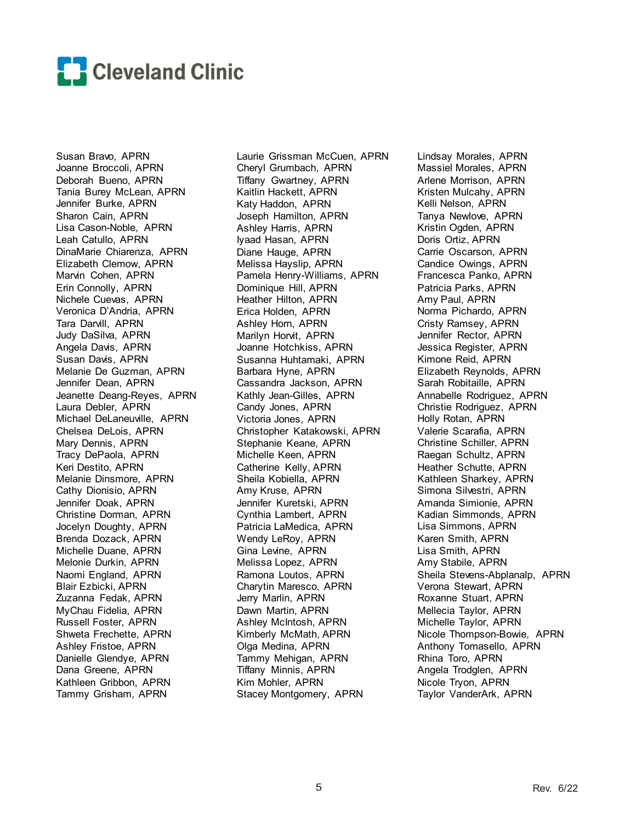

Susan Bravo, APRN Joanne Broccoli, APRN Deborah Bueno, APRN Tania Burey McLean, APRN Jennifer Burke, APRN Sharon Cain, APRN Lisa Cason-Noble, APRN Leah Catullo, APRN DinaMarie Chiarenza, APRN Elizabeth Clemow, APRN Marvin Cohen, APRN Erin Connolly, APRN Nichele Cuevas, APRN Veronica D'Andria, APRN Tara Darvill, APRN Judy DaSilva, APRN Angela Davis, APRN Susan Davis, APRN Melanie De Guzman, APRN Jennifer Dean, APRN Jeanette Deang-Reyes, APRN Laura Debler, APRN Michael DeLaneuville, APRN Chelsea DeLois, APRN Mary Dennis, APRN Tracy DePaola, APRN Keri Destito, APRN Melanie Dinsmore, APRN Cathy Dionisio, APRN Jennifer Doak, APRN Christine Dorman, APRN Jocelyn Doughty, APRN Brenda Dozack, APRN Michelle Duane, APRN Melonie Durkin, APRN Naomi England, APRN Blair Ezbicki, APRN Zuzanna Fedak, APRN MyChau Fidelia, APRN Russell Foster, APRN Shweta Frechette, APRN Ashley Fristoe, APRN Danielle Glendye, APRN Dana Greene, APRN Kathleen Gribbon, APRN Tammy Grisham, APRN

Laurie Grissman McCuen, APRN Cheryl Grumbach, APRN Tiffany Gwartney, APRN Kaitlin Hackett, APRN Katy Haddon, APRN Joseph Hamilton, APRN Ashley Harris, APRN Iyaad Hasan, APRN Diane Hauge, APRN Melissa Hayslip, APRN Pamela Henry-Williams, APRN Dominique Hill, APRN Heather Hilton, APRN Erica Holden, APRN Ashley Horn, APRN Marilyn Horvit, APRN Joanne Hotchkiss, APRN Susanna Huhtamaki, APRN Barbara Hyne, APRN Cassandra Jackson, APRN Kathly Jean-Gilles, APRN Candy Jones, APRN Victoria Jones, APRN Christopher Katakowski, APRN Stephanie Keane, APRN Michelle Keen, APRN Catherine Kelly, APRN Sheila Kobiella, APRN Amy Kruse, APRN Jennifer Kuretski, APRN Cynthia Lambert, APRN Patricia LaMedica, APRN Wendy LeRoy, APRN Gina Levine, APRN Melissa Lopez, APRN Ramona Loutos, APRN Charytin Maresco, APRN Jerry Marlin, APRN Dawn Martin, APRN Ashley McIntosh, APRN Kimberly McMath, APRN Olga Medina, APRN Tammy Mehigan, APRN Tiffany Minnis, APRN Kim Mohler, APRN Stacey Montgomery, APRN

Lindsay Morales, APRN Massiel Morales, APRN Arlene Morrison, APRN Kristen Mulcahy, APRN Kelli Nelson, APRN Tanya Newlove, APRN Kristin Ogden, APRN Doris Ortiz, APRN Carrie Oscarson, APRN Candice Owings, APRN Francesca Panko, APRN Patricia Parks, APRN Amy Paul, APRN Norma Pichardo, APRN Cristy Ramsey, APRN Jennifer Rector, APRN Jessica Register, APRN Kimone Reid, APRN Elizabeth Reynolds, APRN Sarah Robitaille, APRN Annabelle Rodriguez, APRN Christie Rodriguez, APRN Holly Rotan, APRN Valerie Scarafia, APRN Christine Schiller, APRN Raegan Schultz, APRN Heather Schutte, APRN Kathleen Sharkey, APRN Simona Silvestri, APRN Amanda Simionie, APRN Kadian Simmonds, APRN Lisa Simmons, APRN Karen Smith, APRN Lisa Smith, APRN Amy Stabile, APRN Sheila Stevens-Abplanalp, APRN Verona Stewart, APRN Roxanne Stuart, APRN Mellecia Taylor, APRN Michelle Taylor, APRN Nicole Thompson-Bowie, APRN Anthony Tomasello, APRN Rhina Toro, APRN Angela Trodglen, APRN Nicole Tryon, APRN Taylor VanderArk, APRN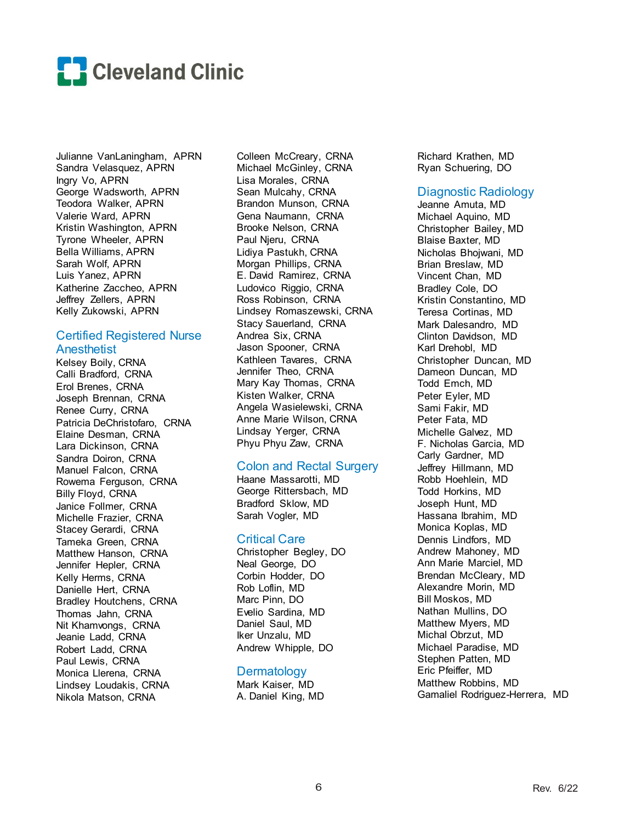

Julianne VanLaningham, APRN Sandra Velasquez, APRN Ingry Vo, APRN George Wadsworth, APRN Teodora Walker, APRN Valerie Ward, APRN Kristin Washington, APRN Tyrone Wheeler, APRN Bella Williams, APRN Sarah Wolf, APRN Luis Yanez, APRN Katherine Zaccheo, APRN Jeffrey Zellers, APRN Kelly Zukowski, APRN

## Certified Registered Nurse **Anesthetist**

Kelsey Boily, CRNA Calli Bradford, CRNA Erol Brenes, CRNA Joseph Brennan, CRNA Renee Curry, CRNA Patricia DeChristofaro, CRNA Elaine Desman, CRNA Lara Dickinson, CRNA Sandra Doiron, CRNA Manuel Falcon, CRNA Rowema Ferguson, CRNA Billy Floyd, CRNA Janice Follmer, CRNA Michelle Frazier, CRNA Stacey Gerardi, CRNA Tameka Green, CRNA Matthew Hanson, CRNA Jennifer Hepler, CRNA Kelly Herms, CRNA Danielle Hert, CRNA Bradley Houtchens, CRNA Thomas Jahn, CRNA Nit Khamvongs, CRNA Jeanie Ladd, CRNA Robert Ladd, CRNA Paul Lewis, CRNA Monica Llerena, CRNA Lindsey Loudakis, CRNA Nikola Matson, CRNA

Colleen McCreary, CRNA Michael McGinley, CRNA Lisa Morales, CRNA Sean Mulcahy, CRNA Brandon Munson, CRNA Gena Naumann, CRNA Brooke Nelson, CRNA Paul Njeru, CRNA Lidiya Pastukh, CRNA Morgan Phillips, CRNA E. David Ramirez, CRNA Ludovico Riggio, CRNA Ross Robinson, CRNA Lindsey Romaszewski, CRNA Stacy Sauerland, CRNA Andrea Six, CRNA Jason Spooner, CRNA Kathleen Tavares, CRNA Jennifer Theo, CRNA Mary Kay Thomas, CRNA Kisten Walker, CRNA Angela Wasielewski, CRNA Anne Marie Wilson, CRNA Lindsay Yerger, CRNA Phyu Phyu Zaw, CRNA

## Colon and Rectal Surgery

Haane Massarotti, MD George Rittersbach, MD Bradford Sklow, MD Sarah Vogler, MD

### Critical Care

Christopher Begley, DO Neal George, DO Corbin Hodder, DO Rob Loflin, MD Marc Pinn, DO Evelio Sardina, MD Daniel Saul, MD Iker Unzalu, MD Andrew Whipple, DO

## **Dermatology**

Mark Kaiser, MD A. Daniel King, MD Richard Krathen, MD Ryan Schuering, DO

## Diagnostic Radiology

Jeanne Amuta, MD Michael Aquino, MD Christopher Bailey, MD Blaise Baxter, MD Nicholas Bhojwani, MD Brian Breslaw, MD Vincent Chan, MD Bradley Cole, DO Kristin Constantino, MD Teresa Cortinas, MD Mark Dalesandro, MD Clinton Davidson, MD Karl Drehobl, MD Christopher Duncan, MD Dameon Duncan, MD Todd Emch, MD Peter Eyler, MD Sami Fakir, MD Peter Fata, MD Michelle Galvez, MD F. Nicholas Garcia, MD Carly Gardner, MD Jeffrey Hillmann, MD Robb Hoehlein, MD Todd Horkins, MD Joseph Hunt, MD Hassana Ibrahim, MD Monica Koplas, MD Dennis Lindfors, MD Andrew Mahoney, MD Ann Marie Marciel, MD Brendan McCleary, MD Alexandre Morin, MD Bill Moskos, MD Nathan Mullins, DO Matthew Myers, MD Michal Obrzut, MD Michael Paradise, MD Stephen Patten, MD Eric Pfeiffer, MD Matthew Robbins, MD Gamaliel Rodriguez-Herrera, MD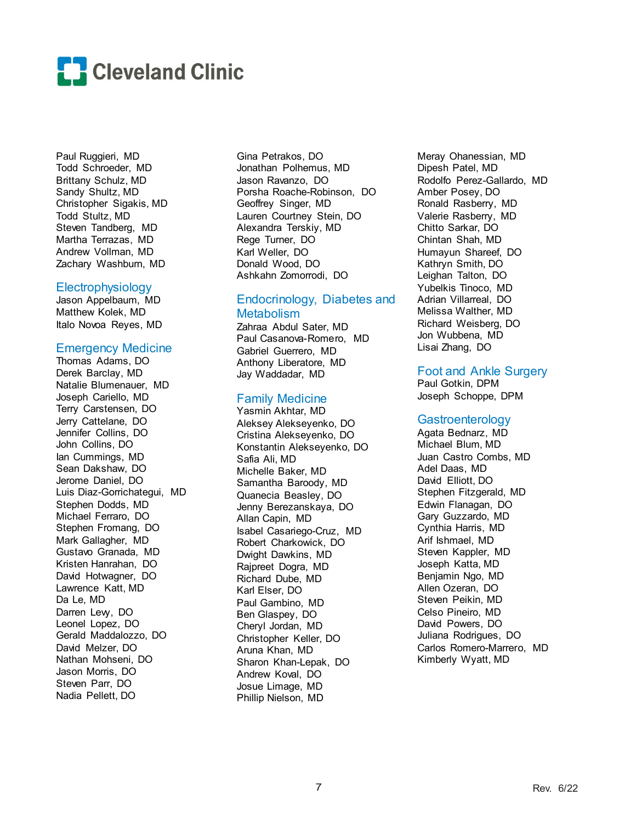

Paul Ruggieri, MD Todd Schroeder, MD Brittany Schulz, MD Sandy Shultz, MD Christopher Sigakis, MD Todd Stultz, MD Steven Tandberg, MD Martha Terrazas, MD Andrew Vollman, MD Zachary Washburn, MD

#### Electrophysiology

Jason Appelbaum, MD Matthew Kolek, MD Italo Novoa Reyes, MD

### Emergency Medicine

Thomas Adams, DO Derek Barclay, MD Natalie Blumenauer, MD Joseph Cariello, MD Terry Carstensen, DO Jerry Cattelane, DO Jennifer Collins, DO John Collins, DO Ian Cummings, MD Sean Dakshaw, DO Jerome Daniel, DO Luis Diaz-Gorrichategui, MD Stephen Dodds, MD Michael Ferraro, DO Stephen Fromang, DO Mark Gallagher, MD Gustavo Granada, MD Kristen Hanrahan, DO David Hotwagner, DO Lawrence Katt, MD Da Le, MD Darren Lew, DO Leonel Lopez, DO Gerald Maddalozzo, DO David Melzer, DO Nathan Mohseni, DO Jason Morris, DO Steven Parr, DO Nadia Pellett, DO

Gina Petrakos, DO Jonathan Polhemus, MD Jason Ravanzo, DO Porsha Roache-Robinson, DO Geoffrey Singer, MD Lauren Courtney Stein, DO Alexandra Terskiy, MD Rege Turner, DO Karl Weller, DO Donald Wood, DO Ashkahn Zomorrodi, DO

## Endocrinology, Diabetes and **Metabolism**

Zahraa Abdul Sater, MD Paul Casanova-Romero, MD Gabriel Guerrero, MD Anthony Liberatore, MD Jay Waddadar, MD

### Family Medicine

Yasmin Akhtar, MD Aleksey Alekseyenko, DO Cristina Alekseyenko, DO Konstantin Alekseyenko, DO Safia Ali, MD Michelle Baker, MD Samantha Baroody, MD Quanecia Beasley, DO Jenny Berezanskaya, DO Allan Capin, MD Isabel Casariego-Cruz, MD Robert Charkowick, DO Dwight Dawkins, MD Rajpreet Dogra, MD Richard Dube, MD Karl Elser, DO Paul Gambino, MD Ben Glaspey, DO Cheryl Jordan, MD Christopher Keller, DO Aruna Khan, MD Sharon Khan-Lepak, DO Andrew Koval, DO Josue Limage, MD Phillip Nielson, MD

Meray Ohanessian, MD Dipesh Patel, MD Rodolfo Perez-Gallardo, MD Amber Posey, DO Ronald Rasberry, MD Valerie Rasberry, MD Chitto Sarkar, DO Chintan Shah, MD Humayun Shareef, DO Kathryn Smith, DO Leighan Talton, DO Yubelkis Tinoco, MD Adrian Villarreal, DO Melissa Walther, MD Richard Weisberg, DO Jon Wubbena, MD Lisai Zhang, DO

## Foot and Ankle Surgery

Paul Gotkin, DPM Joseph Schoppe, DPM

### **Gastroenterology**

Agata Bednarz, MD Michael Blum, MD Juan Castro Combs, MD Adel Daas, MD David Elliott, DO Stephen Fitzgerald, MD Edwin Flanagan, DO Gary Guzzardo, MD Cynthia Harris, MD Arif Ishmael, MD Steven Kappler, MD Joseph Katta, MD Benjamin Ngo, MD Allen Ozeran, DO Steven Peikin, MD Celso Pineiro, MD David Powers, DO Juliana Rodrigues, DO Carlos Romero-Marrero, MD Kimberly Wyatt, MD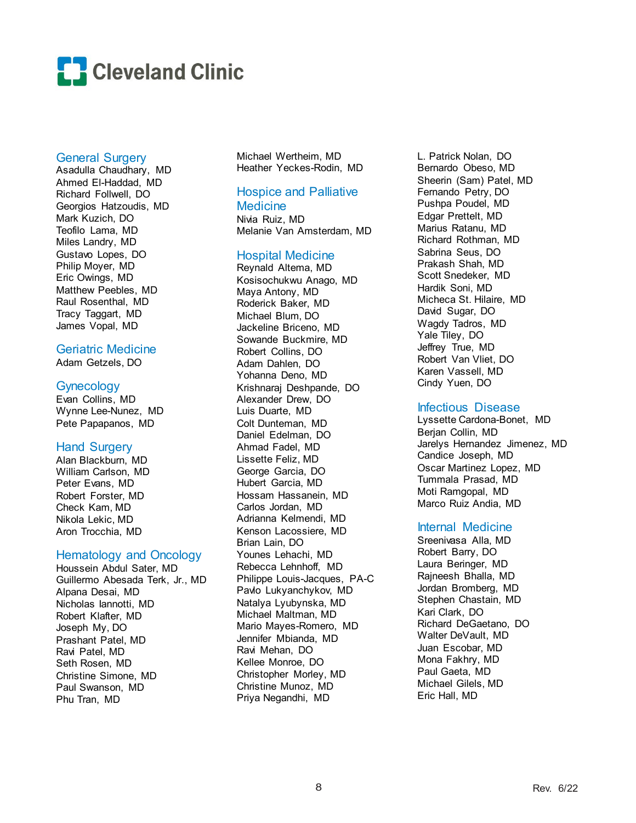

### General Surgery

Asadulla Chaudhary, MD Ahmed El-Haddad, MD Richard Follwell, DO Georgios Hatzoudis, MD Mark Kuzich, DO Teofilo Lama, MD Miles Landry, MD Gustavo Lopes, DO Philip Moyer, MD Eric Owings, MD Matthew Peebles, MD Raul Rosenthal, MD Tracy Taggart, MD James Vopal, MD

## Geriatric Medicine

Adam Getzels, DO

### Gynecology

Evan Collins, MD Wynne Lee-Nunez, MD Pete Papapanos, MD

## Hand Surgery

Alan Blackburn, MD William Carlson, MD Peter Evans, MD Robert Forster, MD Check Kam, MD Nikola Lekic, MD Aron Trocchia, MD

### Hematology and Oncology

Houssein Abdul Sater, MD Guillermo Abesada Terk, Jr., MD Alpana Desai, MD Nicholas Iannotti, MD Robert Klafter, MD Joseph My, DO Prashant Patel, MD Ravi Patel, MD Seth Rosen, MD Christine Simone, MD Paul Swanson, MD Phu Tran, MD

Michael Wertheim, MD Heather Yeckes-Rodin, MD

## Hospice and Palliative **Medicine**

Nivia Ruiz, MD Melanie Van Amsterdam, MD

### Hospital Medicine

Reynald Altema, MD Kosisochukwu Anago, MD Maya Antony, MD Roderick Baker, MD Michael Blum, DO Jackeline Briceno, MD Sowande Buckmire, MD Robert Collins, DO Adam Dahlen, DO Yohanna Deno, MD Krishnaraj Deshpande, DO Alexander Drew, DO Luis Duarte, MD Colt Dunteman, MD Daniel Edelman, DO Ahmad Fadel, MD Lissette Feliz, MD George Garcia, DO Hubert Garcia, MD Hossam Hassanein, MD Carlos Jordan, MD Adrianna Kelmendi, MD Kenson Lacossiere, MD Brian Lain, DO Younes Lehachi, MD Rebecca Lehnhoff, MD Philippe Louis-Jacques, PA-C Pavlo Lukyanchykov, MD Natalya Lyubynska, MD Michael Maltman, MD Mario Mayes-Romero, MD Jennifer Mbianda, MD Ravi Mehan, DO Kellee Monroe, DO Christopher Morley, MD Christine Munoz, MD Priya Negandhi, MD

L. Patrick Nolan, DO Bernardo Obeso, MD Sheerin (Sam) Patel, MD Fernando Petry, DO Pushpa Poudel, MD Edgar Prettelt, MD Marius Ratanu, MD Richard Rothman, MD Sabrina Seus, DO Prakash Shah, MD Scott Snedeker, MD Hardik Soni, MD Micheca St. Hilaire, MD David Sugar, DO Wagdy Tadros, MD Yale Tiley, DO Jeffrey True, MD Robert Van Vliet, DO Karen Vassell, MD Cindy Yuen, DO

## Infectious Disease

Lyssette Cardona-Bonet, MD Berjan Collin, MD Jarelys Hernandez Jimenez, MD Candice Joseph, MD Oscar Martinez Lopez, MD Tummala Prasad, MD Moti Ramgopal, MD Marco Ruiz Andia, MD

### Internal Medicine

Sreenivasa Alla, MD Robert Barry, DO Laura Beringer, MD Rajneesh Bhalla, MD Jordan Bromberg, MD Stephen Chastain, MD Kari Clark, DO Richard DeGaetano, DO Walter DeVault, MD Juan Escobar, MD Mona Fakhry, MD Paul Gaeta, MD Michael Gilels, MD Eric Hall, MD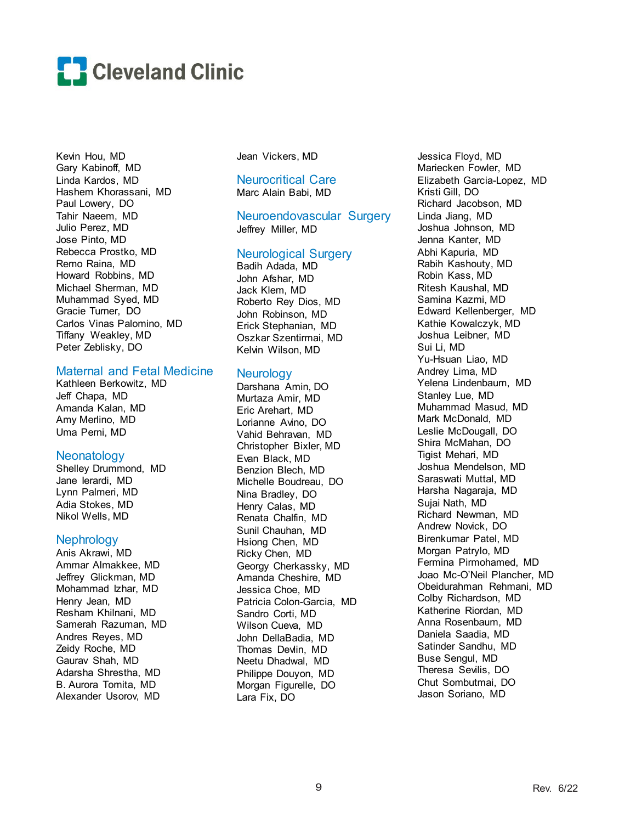

Kevin Hou, MD Gary Kabinoff, MD Linda Kardos, MD Hashem Khorassani, MD Paul Lowery, DO Tahir Naeem, MD Julio Perez, MD Jose Pinto, MD Rebecca Prostko, MD Remo Raina, MD Howard Robbins, MD Michael Sherman, MD Muhammad Syed, MD Gracie Turner, DO Carlos Vinas Palomino, MD Tiffany Weakley, MD Peter Zeblisky, DO

### Maternal and Fetal Medicine

Kathleen Berkowitz, MD Jeff Chapa, MD Amanda Kalan, MD Amy Merlino, MD Uma Perni, MD

### **Neonatology**

Shelley Drummond, MD Jane Ierardi, MD Lynn Palmeri, MD Adia Stokes, MD Nikol Wells, MD

### **Nephrology**

Anis Akrawi, MD Ammar Almakkee, MD Jeffrey Glickman, MD Mohammad Izhar, MD Henry Jean, MD Resham Khilnani, MD Samerah Razuman, MD Andres Reyes, MD Zeidy Roche, MD Gaurav Shah, MD Adarsha Shrestha, MD B. Aurora Tomita, MD Alexander Usorov, MD

Jean Vickers, MD

### Neurocritical Care Marc Alain Babi, MD

### Neuroendovascular Surgery Jeffrey Miller, MD

## Neurological Surgery

Badih Adada, MD John Afshar, MD Jack Klem, MD Roberto Rey Dios, MD John Robinson, MD Erick Stephanian, MD Oszkar Szentirmai, MD Kelvin Wilson, MD

## **Neurology**

Darshana Amin, DO Murtaza Amir, MD Eric Arehart, MD Lorianne Avino, DO Vahid Behravan, MD Christopher Bixler, MD Evan Black, MD Benzion Blech, MD Michelle Boudreau, DO Nina Bradley, DO Henry Calas, MD Renata Chalfin, MD Sunil Chauhan, MD Hsiong Chen, MD Ricky Chen, MD Georgy Cherkassky, MD Amanda Cheshire, MD Jessica Choe, MD Patricia Colon-Garcia, MD Sandro Corti, MD Wilson Cueva, MD John DellaBadia, MD Thomas Devlin, MD Neetu Dhadwal, MD Philippe Douyon, MD Morgan Figurelle, DO Lara Fix, DO

Jessica Floyd, MD Mariecken Fowler, MD Elizabeth Garcia-Lopez, MD Kristi Gill, DO Richard Jacobson, MD Linda Jiang, MD Joshua Johnson, MD Jenna Kanter, MD Abhi Kapuria, MD Rabih Kashouty, MD Robin Kass, MD Ritesh Kaushal, MD Samina Kazmi, MD Edward Kellenberger, MD Kathie Kowalczyk, MD Joshua Leibner, MD Sui Li, MD Yu-Hsuan Liao, MD Andrey Lima, MD Yelena Lindenbaum, MD Stanley Lue, MD Muhammad Masud, MD Mark McDonald, MD Leslie McDougall, DO Shira McMahan, DO Tigist Mehari, MD Joshua Mendelson, MD Saraswati Muttal, MD Harsha Nagaraja, MD Sujai Nath, MD Richard Newman, MD Andrew Novick, DO Birenkumar Patel, MD Morgan Patrylo, MD Fermina Pirmohamed, MD Joao Mc-O'Neil Plancher, MD Obeidurahman Rehmani, MD Colby Richardson, MD Katherine Riordan, MD Anna Rosenbaum, MD Daniela Saadia, MD Satinder Sandhu, MD Buse Sengul, MD Theresa Sevilis, DO Chut Sombutmai, DO Jason Soriano, MD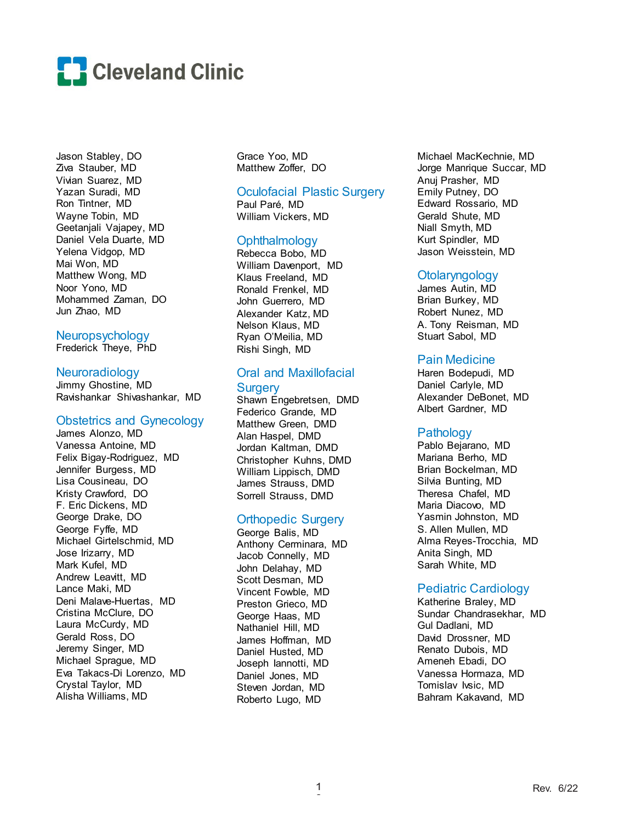

Jason Stabley, DO Ziva Stauber, MD Vivian Suarez, MD Yazan Suradi, MD Ron Tintner, MD Wayne Tobin, MD Geetanjali Vajapey, MD Daniel Vela Duarte, MD Yelena Vidgop, MD Mai Won, MD Matthew Wong, MD Noor Yono, MD Mohammed Zaman, DO Jun Zhao, MD

### Neuropsychology

Frederick Theye, PhD

### **Neuroradiology**

Jimmy Ghostine, MD Ravishankar Shivashankar, MD

### Obstetrics and Gynecology

James Alonzo, MD Vanessa Antoine, MD Felix Bigay-Rodriguez, MD Jennifer Burgess, MD Lisa Cousineau, DO Kristy Crawford, DO F. Eric Dickens, MD George Drake, DO George Fyffe, MD Michael Girtelschmid, MD Jose Irizarry, MD Mark Kufel, MD Andrew Leavitt, MD Lance Maki, MD Deni Malave-Huertas, MD Cristina McClure, DO Laura McCurdy, MD Gerald Ross, DO Jeremy Singer, MD Michael Sprague, MD Eva Takacs-Di Lorenzo, MD Crystal Taylor, MD Alisha Williams, MD

Grace Yoo, MD Matthew Zoffer, DO

## Oculofacial Plastic Surgery

Paul Paré, MD William Vickers, MD

### **Ophthalmology**

Rebecca Bobo, MD William Davenport, MD Klaus Freeland, MD Ronald Frenkel, MD John Guerrero, MD Alexander Katz, MD Nelson Klaus, MD Ryan O'Meilia, MD Rishi Singh, MD

## Oral and Maxillofacial **Surgery**

Shawn Engebretsen, DMD Federico Grande, MD Matthew Green, DMD Alan Haspel, DMD Jordan Kaltman, DMD Christopher Kuhns, DMD William Lippisch, DMD James Strauss, DMD Sorrell Strauss, DMD

### Orthopedic Surgery

George Balis, MD Anthony Cerminara, MD Jacob Connelly, MD John Delahay, MD Scott Desman, MD Vincent Fowble, MD Preston Grieco, MD George Haas, MD Nathaniel Hill, MD James Hoffman, MD Daniel Husted, MD Joseph Iannotti, MD Daniel Jones, MD Steven Jordan, MD Roberto Lugo, MD

Michael MacKechnie, MD Jorge Manrique Succar, MD Anuj Prasher, MD Emily Putney, DO Edward Rossario, MD Gerald Shute, MD Niall Smyth, MD Kurt Spindler, MD Jason Weisstein, MD

#### **Otolaryngology**

James Autin, MD Brian Burkey, MD Robert Nunez, MD A. Tony Reisman, MD Stuart Sabol, MD

### Pain Medicine

Haren Bodepudi, MD Daniel Carlyle, MD Alexander DeBonet, MD Albert Gardner, MD

#### Pathology

Pablo Bejarano, MD Mariana Berho, MD Brian Bockelman, MD Silvia Bunting, MD Theresa Chafel, MD Maria Diacovo, MD Yasmin Johnston, MD S. Allen Mullen, MD Alma Reyes-Trocchia, MD Anita Singh, MD Sarah White, MD

#### Pediatric Cardiology

Katherine Braley, MD Sundar Chandrasekhar, MD Gul Dadlani, MD David Drossner, MD Renato Dubois, MD Ameneh Ebadi, DO Vanessa Hormaza, MD Tomislav Ivsic, MD Bahram Kakavand, MD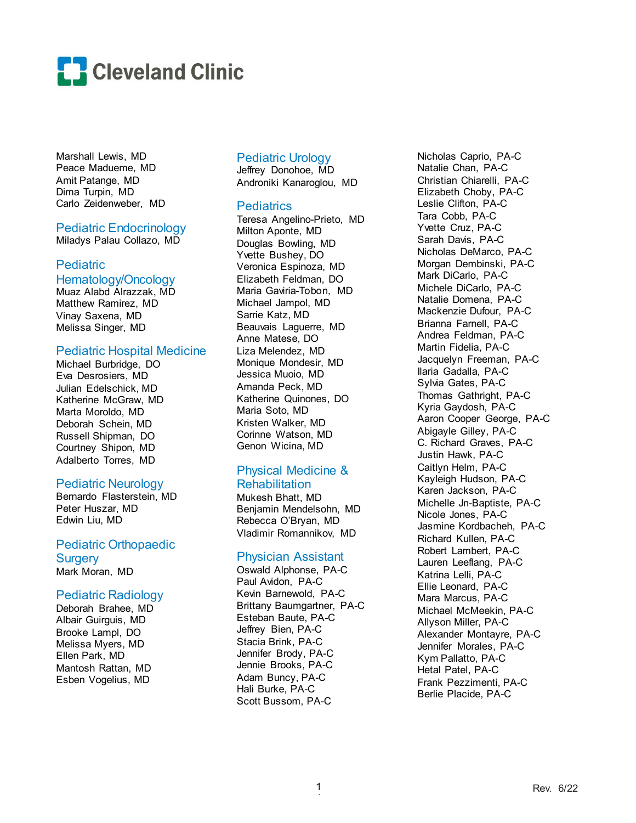

Marshall Lewis, MD Peace Madueme, MD Amit Patange, MD Dima Turpin, MD Carlo Zeidenweber, MD

### Pediatric Endocrinology Miladys Palau Collazo, MD

## **Pediatric**

## Hematology/Oncology

Muaz Alabd Alrazzak, MD Matthew Ramirez, MD Vinay Saxena, MD Melissa Singer, MD

### Pediatric Hospital Medicine

Michael Burbridge, DO Eva Desrosiers, MD Julian Edelschick, MD Katherine McGraw, MD Marta Moroldo, MD Deborah Schein, MD Russell Shipman, DO Courtney Shipon, MD Adalberto Torres, MD

## Pediatric Neurology

Bernardo Flasterstein, MD Peter Huszar, MD Edwin Liu, MD

Pediatric Orthopaedic **Surgery** Mark Moran, MD

## Pediatric Radiology

Deborah Brahee, MD Albair Guirguis, MD Brooke Lampl, DO Melissa Myers, MD Ellen Park, MD Mantosh Rattan, MD Esben Vogelius, MD

## Pediatric Urology

Jeffrey Donohoe, MD Androniki Kanaroglou, MD

## **Pediatrics**

Teresa Angelino-Prieto, MD Milton Aponte, MD Douglas Bowling, MD Yvette Bushey, DO Veronica Espinoza, MD Elizabeth Feldman, DO Maria Gaviria-Tobon, MD Michael Jampol, MD Sarrie Katz, MD Beauvais Laguerre, MD Anne Matese, DO Liza Melendez, MD Monique Mondesir, MD Jessica Muoio, MD Amanda Peck, MD Katherine Quinones, DO Maria Soto, MD Kristen Walker, MD Corinne Watson, MD Genon Wicina, MD

## Physical Medicine &

## Rehabilitation

Mukesh Bhatt, MD Benjamin Mendelsohn, MD Rebecca O'Bryan, MD Vladimir Romannikov, MD

## Physician Assistant

Oswald Alphonse, PA-C Paul Avidon, PA-C Kevin Barnewold, PA-C Brittany Baumgartner, PA-C Esteban Baute, PA-C Jeffrey Bien, PA-C Stacia Brink, PA-C Jennifer Brody, PA-C Jennie Brooks, PA-C Adam Buncy, PA-C Hali Burke, PA-C Scott Bussom, PA-C

Nicholas Caprio, PA-C Natalie Chan, PA-C Christian Chiarelli, PA-C Elizabeth Choby, PA-C Leslie Clifton, PA-C Tara Cobb, PA-C Yvette Cruz, PA-C Sarah Davis, PA-C Nicholas DeMarco, PA-C Morgan Dembinski, PA-C Mark DiCarlo, PA-C Michele DiCarlo, PA-C Natalie Domena, PA-C Mackenzie Dufour, PA-C Brianna Farnell, PA-C Andrea Feldman, PA-C Martin Fidelia, PA-C Jacquelyn Freeman, PA-C Ilaria Gadalla, PA-C Sylvia Gates, PA-C Thomas Gathright, PA-C Kyria Gaydosh, PA-C Aaron Cooper George, PA-C Abigayle Gilley, PA-C C. Richard Graves, PA-C Justin Hawk, PA-C Caitlyn Helm, PA-C Kayleigh Hudson, PA-C Karen Jackson, PA-C Michelle Jn-Baptiste, PA-C Nicole Jones, PA-C Jasmine Kordbacheh, PA-C Richard Kullen, PA-C Robert Lambert, PA-C Lauren Leeflang, PA-C Katrina Lelli, PA-C Ellie Leonard, PA-C Mara Marcus, PA-C Michael McMeekin, PA-C Allyson Miller, PA-C Alexander Montayre, PA-C Jennifer Morales, PA-C Kym Pallatto, PA-C Hetal Patel, PA-C Frank Pezzimenti, PA-C Berlie Placide, PA-C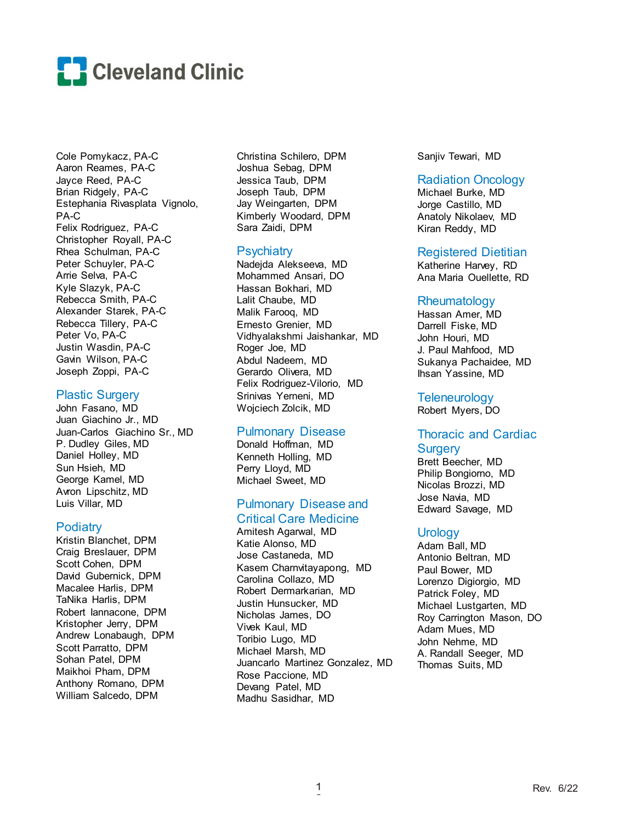

Cole Pomykacz, PA-C Aaron Reames, PA-C Jayce Reed, PA-C Brian Ridgely, PA-C Estephania Rivasplata Vignolo, PA-C Felix Rodriguez, PA-C Christopher Royall, PA-C Rhea Schulman, PA-C Peter Schuyler, PA-C Arrie Selva, PA-C Kyle Slazyk, PA-C Rebecca Smith, PA-C Alexander Starek, PA-C Rebecca Tillery, PA-C Peter Vo, PA-C Justin Wasdin, PA-C Gavin Wilson, PA-C Joseph Zoppi, PA-C

## Plastic Surgery

John Fasano, MD Juan Giachino Jr., MD Juan-Carlos Giachino Sr., MD P. Dudley Giles, MD Daniel Holley, MD Sun Hsieh, MD George Kamel, MD Avron Lipschitz, MD Luis Villar, MD

### **Podiatry**

Kristin Blanchet, DPM Craig Breslauer, DPM Scott Cohen, DPM David Gubernick, DPM Macalee Harlis, DPM TaNika Harlis, DPM Robert Iannacone, DPM Kristopher Jerry, DPM Andrew Lonabaugh, DPM Scott Parratto, DPM Sohan Patel, DPM Maikhoi Pham, DPM Anthony Romano, DPM William Salcedo, DPM

Christina Schilero, DPM Joshua Sebag, DPM Jessica Taub, DPM Joseph Taub, DPM Jay Weingarten, DPM Kimberly Woodard, DPM Sara Zaidi, DPM

## **Psychiatry**

Nadejda Alekseeva, MD Mohammed Ansari, DO Hassan Bokhari, MD Lalit Chaube, MD Malik Farooq, MD Ernesto Grenier, MD Vidhyalakshmi Jaishankar, MD Roger Joe, MD Abdul Nadeem, MD Gerardo Olivera, MD Felix Rodriguez-Vilorio, MD Srinivas Yerneni, MD Wojciech Zolcik, MD

### Pulmonary Disease

Donald Hoffman, MD Kenneth Holling, MD Perry Lloyd, MD Michael Sweet, MD

## Pulmonary Disease and Critical Care Medicine

Amitesh Agarwal, MD Katie Alonso, MD Jose Castaneda, MD Kasem Charnvitayapong, MD Carolina Collazo, MD Robert Dermarkarian, MD Justin Hunsucker, MD Nicholas James, DO Vivek Kaul, MD Toribio Lugo, MD Michael Marsh, MD Juancarlo Martinez Gonzalez, MD Rose Paccione, MD Devang Patel, MD Madhu Sasidhar, MD

Sanjiv Tewari, MD

### Radiation Oncology

Michael Burke, MD Jorge Castillo, MD Anatoly Nikolaev, MD Kiran Reddy, MD

### Registered Dietitian

Katherine Harvey, RD Ana Maria Ouellette, RD

### **Rheumatology**

Hassan Amer, MD Darrell Fiske, MD John Houri, MD J. Paul Mahfood, MD Sukanya Pachaidee, MD Ihsan Yassine, MD

## **Teleneurology**

Robert Myers, DO

## Thoracic and Cardiac **Surgery**

Brett Beecher, MD Philip Bongiorno, MD Nicolas Brozzi, MD Jose Navia, MD Edward Savage, MD

## **Urology**

Adam Ball, MD Antonio Beltran, MD Paul Bower, MD Lorenzo Digiorgio, MD Patrick Foley, MD Michael Lustgarten, MD Roy Carrington Mason, DO Adam Mues, MD John Nehme, MD A. Randall Seeger, MD Thomas Suits, MD